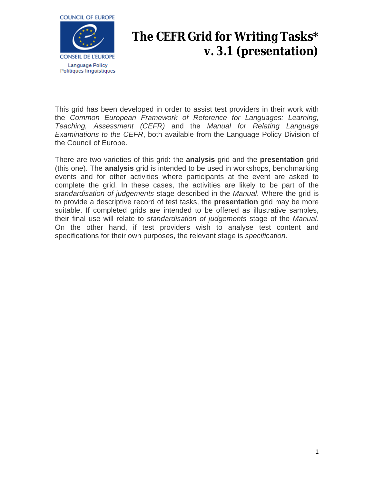

# **The CEFR Grid for Writing Tasks\* v. 3.1 (presentation)**

This grid has been developed in order to assist test providers in their work with the *Common European Framework of Reference for Languages: Learning, Teaching, Assessment (CEFR)* and the *Manual for Relating Language Examinations to the CEFR*, both available from the Language Policy Division of the Council of Europe.

There are two varieties of this grid: the **analysis** grid and the **presentation** grid (this one). The **analysis** grid is intended to be used in workshops, benchmarking events and for other activities where participants at the event are asked to complete the grid. In these cases, the activities are likely to be part of the *standardisation of judgements* stage described in the *Manual*. Where the grid is to provide a descriptive record of test tasks, the **presentation** grid may be more suitable. If completed grids are intended to be offered as illustrative samples, their final use will relate to *standardisation of judgements* stage of the *Manual*. On the other hand, if test providers wish to analyse test content and specifications for their own purposes, the relevant stage is *specification*.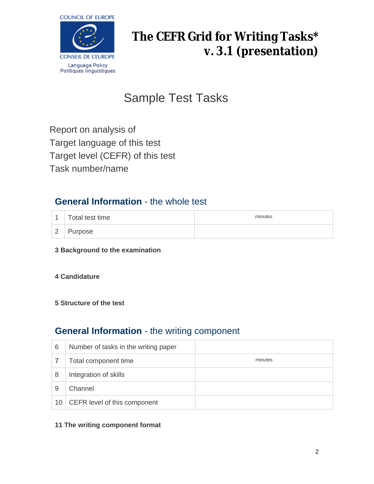

# **The CEFR Grid for Writing Tasks\* v. 3.1 (presentation)**

# Sample Test Tasks

Report on analysis of Target language of this test Target level (CEFR) of this test Task number/name

## **General Information** - the whole test

| $\overline{A}$ | Total test time | minutes |
|----------------|-----------------|---------|
| $\overline{2}$ | Purpose         |         |

### **3 Background to the examination**

### **4 Candidature**

### **5 Structure of the test**

## **General Information** - the writing component

| 6  | Number of tasks in the writing paper |         |
|----|--------------------------------------|---------|
|    | Total component time                 | minutes |
| 8  | Integration of skills                |         |
| 9  | Channel                              |         |
| 10 | CEFR level of this component         |         |

#### **11 The writing component format**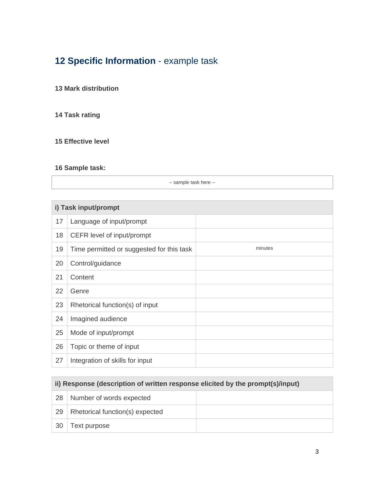## **Specific Information** - example task

### **Mark distribution**

### **Task rating**

### **Effective level**

### **Sample task:**

– sample task here --

| i) Task input/prompt |                                           |         |
|----------------------|-------------------------------------------|---------|
| 17                   | Language of input/prompt                  |         |
| 18                   | CEFR level of input/prompt                |         |
| 19                   | Time permitted or suggested for this task | minutes |
| 20                   | Control/guidance                          |         |
| 21                   | Content                                   |         |
| 22                   | Genre                                     |         |
| 23                   | Rhetorical function(s) of input           |         |
| 24                   | Imagined audience                         |         |
| 25                   | Mode of input/prompt                      |         |
| 26                   | Topic or theme of input                   |         |
| 27                   | Integration of skills for input           |         |

| ii) Response (description of written response elicited by the prompt(s)/input) |                                 |  |
|--------------------------------------------------------------------------------|---------------------------------|--|
| 28                                                                             | Number of words expected        |  |
| 29                                                                             | Rhetorical function(s) expected |  |
| 30                                                                             | Text purpose                    |  |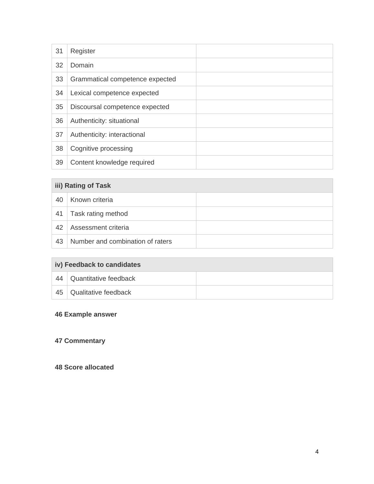| 31 | Register                        |  |
|----|---------------------------------|--|
| 32 | Domain                          |  |
| 33 | Grammatical competence expected |  |
| 34 | Lexical competence expected     |  |
| 35 | Discoursal competence expected  |  |
| 36 | Authenticity: situational       |  |
| 37 | Authenticity: interactional     |  |
| 38 | Cognitive processing            |  |
| 39 | Content knowledge required      |  |

| iii) Rating of Task |                                  |  |
|---------------------|----------------------------------|--|
| 40                  | Known criteria                   |  |
| 41                  | Task rating method               |  |
| 42                  | Assessment criteria              |  |
| 43                  | Number and combination of raters |  |

| iv) Feedback to candidates |                       |  |
|----------------------------|-----------------------|--|
| 44                         | Quantitative feedback |  |
| 45                         | Qualitative feedback  |  |

### **Example answer**

### **Commentary**

### **Score allocated**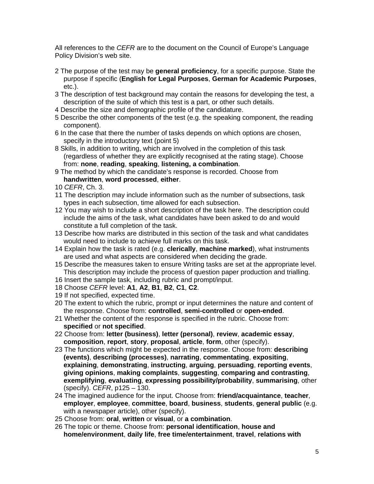All references to the *CEFR* are to the document on the Council of Europe's Language Policy Division's web site.

- 2 The purpose of the test may be **general proficiency**, for a specific purpose. State the purpose if specific (**English for Legal Purposes**, **German for Academic Purposes**, etc.).
- 3 The description of test background may contain the reasons for developing the test, a description of the suite of which this test is a part, or other such details.
- 4 Describe the size and demographic profile of the candidature.
- 5 Describe the other components of the test (e.g. the speaking component, the reading component).
- 6 In the case that there the number of tasks depends on which options are chosen, specify in the introductory text (point 5)
- 8 Skills, in addition to writing, which are involved in the completion of this task (regardless of whether they are explicitly recognised at the rating stage). Choose from: **none**, **reading**, **speaking**, **listening, a combination**.
- 9 The method by which the candidate's response is recorded. Choose from **handwritten**, **word processed**, **either**.
- 10 *CEFR*, Ch. 3.
- 11 The description may include information such as the number of subsections, task types in each subsection, time allowed for each subsection.
- 12 You may wish to include a short description of the task here. The description could include the aims of the task, what candidates have been asked to do and would constitute a full completion of the task.
- 13 Describe how marks are distributed in this section of the task and what candidates would need to include to achieve full marks on this task.
- 14 Explain how the task is rated (e.g. **clerically**, **machine marked**), what instruments are used and what aspects are considered when deciding the grade.
- 15 Describe the measures taken to ensure Writing tasks are set at the appropriate level. This description may include the process of question paper production and trialling.
- 16 Insert the sample task, including rubric and prompt/input.
- 18 Choose *CEFR* level: **A1**, **A2**, **B1**, **B2**, **C1**, **C2**.
- 19 If not specified, expected time.
- 20 The extent to which the rubric, prompt or input determines the nature and content of the response. Choose from: **controlled**, **semi-controlled** or **open-ended**.
- 21 Whether the content of the response is specified in the rubric. Choose from: **specified** or **not specified**.
- 22 Choose from: **letter (business)**, **letter (personal)**, **review**, **academic essay**, **composition**, **report**, **story**, **proposal**, **article**, **form**, other (specify).
- 23 The functions which might be expected in the response. Choose from: **describing (events)**, **describing (processes)**, **narrating**, **commentating**, **expositing**, **explaining**, **demonstrating**, **instructing**, **arguing**, **persuading**, **reporting events**, **giving opinions**, **making complaints**, **suggesting**, **comparing and contrasting**, **exemplifying**, **evaluating**, **expressing possibility/probability**, **summarising**, other (specify). *CEFR*, p125 – 130.
- 24 The imagined audience for the input. Choose from: **friend/acquaintance**, **teacher**, **employer**, **employee**, **committee**, **board**, **business**, **students**, **general public** (e.g. with a newspaper article), other (specify).
- 25 Choose from: **oral**, **written** or **visual**, or **a combination**.
- 26 The topic or theme. Choose from: **personal identification**, **house and home/environment**, **daily life**, **free time/entertainment**, **travel**, **relations with**